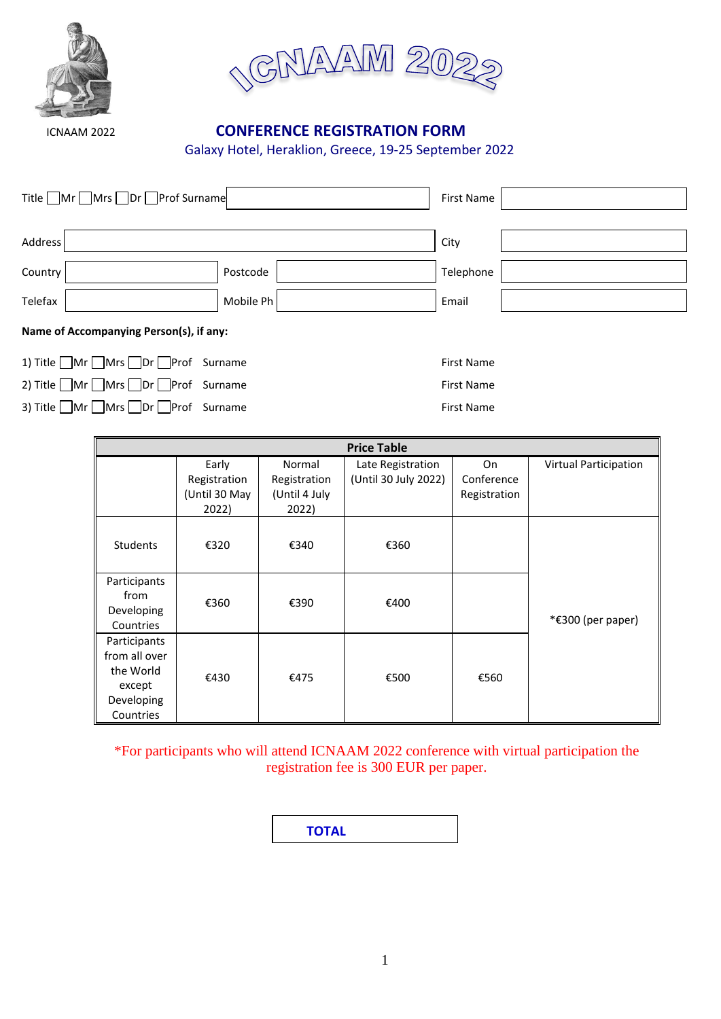



# ICNAAM 2022 **CONFERENCE REGISTRATION FORM**

Galaxy Hotel, Heraklion, Greece, 19-25 September 2022

| Title ■Mr ■Mrs ■Dr ■Prof Surname |           |           |  |
|----------------------------------|-----------|-----------|--|
| Address                          |           | City      |  |
| Country                          | Postcode  | Telephone |  |
| Telefax                          | Mobile Ph | Email     |  |
| $\mathbf{A}$                     |           |           |  |

|  | Name of Accompanying Person(s), if any: |  |  |
|--|-----------------------------------------|--|--|
|--|-----------------------------------------|--|--|

| 1) Title Mr Mrs Dr Prof Surname |  |
|---------------------------------|--|
| 2) Title Mr Mrs Dr Prof Surname |  |
| 3) Title Mr Mrs Dr Prof Surname |  |

| <b>Price Table</b>                                                              |               |               |                      |              |                              |
|---------------------------------------------------------------------------------|---------------|---------------|----------------------|--------------|------------------------------|
|                                                                                 | Early         | Normal        | Late Registration    | On           | <b>Virtual Participation</b> |
|                                                                                 | Registration  | Registration  | (Until 30 July 2022) | Conference   |                              |
|                                                                                 | (Until 30 May | (Until 4 July |                      | Registration |                              |
|                                                                                 | 2022)         | 2022)         |                      |              |                              |
| Students                                                                        | €320          | €340          | €360                 |              |                              |
| Participants<br>from<br>Developing<br>Countries                                 | €360          | €390          | €400                 |              | *€300 (per paper)            |
| Participants<br>from all over<br>the World<br>except<br>Developing<br>Countries | €430          | €475          | €500                 | €560         |                              |

First Name First Name First Name

\*For participants who will attend ICNAAM 2022 conference with virtual participation the registration fee is 300 EUR per paper.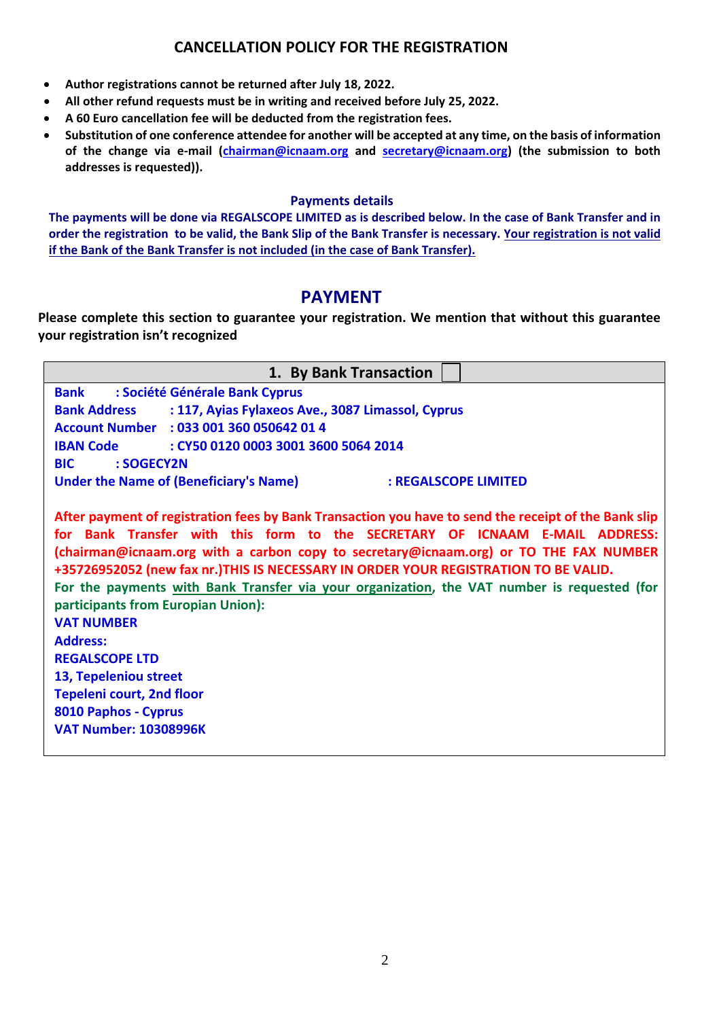## **CANCELLATION POLICY FOR THE REGISTRATION**

- **Author registrations cannot be returned after July 18, 2022.**
- **All other refund requests must be in writing and received before July 25, 2022.**
- **A 60 Euro cancellation fee will be deducted from the registration fees.**
- **Substitution of one conference attendee for another will be accepted at any time, on the basis of information of the change via e-mail [\(chairman@icnaam.org](mailto:chairman@icnaam.org) and [secretary@icnaam.org\)](mailto:secretary@icnaam.org) (the submission to both addresses is requested)).**

#### **Payments details**

**The payments will be done via REGALSCOPE LIMITED as is described below. In the case of Bank Transfer and in order the registration to be valid, the Bank Slip of the Bank Transfer is necessary. Your registration is not valid if the Bank of the Bank Transfer is not included (in the case of Bank Transfer).**

# **PAYMENT**

**Please complete this section to guarantee your registration. We mention that without this guarantee your registration isn't recognized**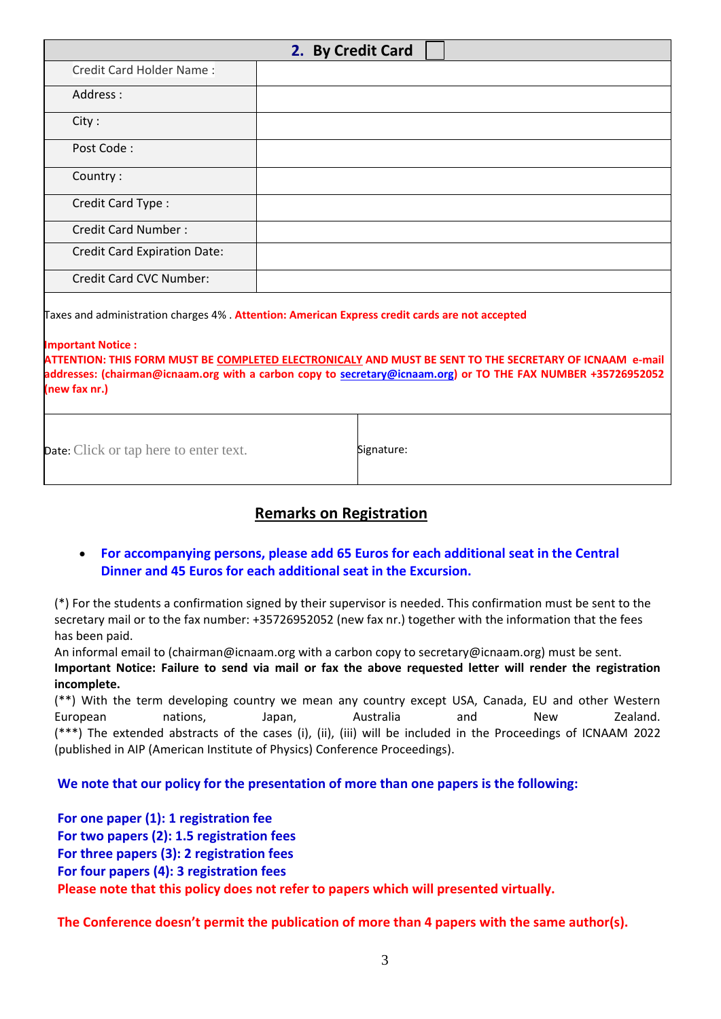| 2. By Credit Card                                                                                                                                                                                                                                                                                                                                                        |            |  |  |
|--------------------------------------------------------------------------------------------------------------------------------------------------------------------------------------------------------------------------------------------------------------------------------------------------------------------------------------------------------------------------|------------|--|--|
| Credit Card Holder Name:                                                                                                                                                                                                                                                                                                                                                 |            |  |  |
| Address:                                                                                                                                                                                                                                                                                                                                                                 |            |  |  |
| City:                                                                                                                                                                                                                                                                                                                                                                    |            |  |  |
| Post Code:                                                                                                                                                                                                                                                                                                                                                               |            |  |  |
| Country:                                                                                                                                                                                                                                                                                                                                                                 |            |  |  |
| Credit Card Type:                                                                                                                                                                                                                                                                                                                                                        |            |  |  |
| <b>Credit Card Number:</b>                                                                                                                                                                                                                                                                                                                                               |            |  |  |
| <b>Credit Card Expiration Date:</b>                                                                                                                                                                                                                                                                                                                                      |            |  |  |
| <b>Credit Card CVC Number:</b>                                                                                                                                                                                                                                                                                                                                           |            |  |  |
| Taxes and administration charges 4% . Attention: American Express credit cards are not accepted<br><b>Important Notice:</b><br>ATTENTION: THIS FORM MUST BE COMPLETED ELECTRONICALY AND MUST BE SENT TO THE SECRETARY OF ICNAAM e-mail<br>addresses: (chairman@icnaam.org with a carbon copy to secretary@icnaam.org) or TO THE FAX NUMBER +35726952052<br>(new fax nr.) |            |  |  |
| <b>Date:</b> Click or tap here to enter text.                                                                                                                                                                                                                                                                                                                            | Signature: |  |  |

## **Remarks on Registration**

### • **For accompanying persons, please add 65 Euros for each additional seat in the Central Dinner and 45 Euros for each additional seat in the Excursion.**

(\*) For the students a confirmation signed by their supervisor is needed. This confirmation must be sent to the secretary mail or to the fax number: +35726952052 (new fax nr.) together with the information that the fees has been paid.

An informal email to (chairman@icnaam.org with a carbon copy to secretary@icnaam.org) must be sent.

**Important Notice: Failure to send via mail or fax the above requested letter will render the registration incomplete.**

(\*\*) With the term developing country we mean any country except USA, Canada, EU and other Western European mations, Japan, Australia and New Zealand. (\*\*\*) The extended abstracts of the cases (i), (ii), (iii) will be included in the Proceedings of ICNAAM 2022 (published in AIP (American Institute of Physics) Conference Proceedings).

**We note that our policy for the presentation of more than one papers is the following:**

**For one paper (1): 1 registration fee For two papers (2): 1.5 registration fees For three papers (3): 2 registration fees For four papers (4): 3 registration fees Please note that this policy does not refer to papers which will presented virtually.**

**The Conference doesn't permit the publication of more than 4 papers with the same author(s).**